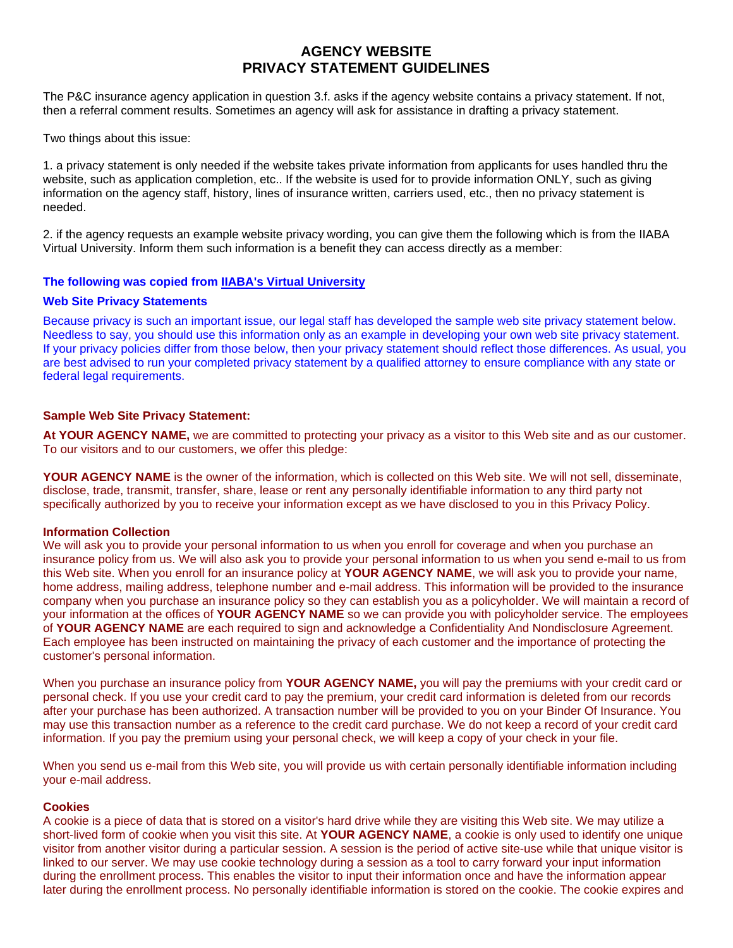# **AGENCY WEBSITE PRIVACY STATEMENT GUIDELINES**

The P&C insurance agency application in question 3.f. asks if the agency website contains a privacy statement. If not, then a referral comment results. Sometimes an agency will ask for assistance in drafting a privacy statement.

Two things about this issue:

1. a privacy statement is only needed if the website takes private information from applicants for uses handled thru the website, such as application completion, etc.. If the website is used for to provide information ONLY, such as giving information on the agency staff, history, lines of insurance written, carriers used, etc., then no privacy statement is needed.

2. if the agency requests an example website privacy wording, you can give them the following which is from the IIABA Virtual University. Inform them such information is a benefit they can access directly as a member:

## **The following was copied from [IIABA's Virtual University](http://www.iiaba.org/VU/Lib/Tec/TI/WebSites/WilsonPrivacy01.htm)**

#### **Web Site Privacy Statements**

Because privacy is such an important issue, our legal staff has developed the sample web site privacy statement below. Needless to say, you should use this information only as an example in developing your own web site privacy statement. If your privacy policies differ from those below, then your privacy statement should reflect those differences. As usual, you are best advised to run your completed privacy statement by a qualified attorney to ensure compliance with any state or federal legal requirements.

#### **Sample Web Site Privacy Statement:**

**At YOUR AGENCY NAME,** we are committed to protecting your privacy as a visitor to this Web site and as our customer. To our visitors and to our customers, we offer this pledge:

**YOUR AGENCY NAME** is the owner of the information, which is collected on this Web site. We will not sell, disseminate, disclose, trade, transmit, transfer, share, lease or rent any personally identifiable information to any third party not specifically authorized by you to receive your information except as we have disclosed to you in this Privacy Policy.

#### **Information Collection**

We will ask you to provide your personal information to us when you enroll for coverage and when you purchase an insurance policy from us. We will also ask you to provide your personal information to us when you send e-mail to us from this Web site. When you enroll for an insurance policy at **YOUR AGENCY NAME**, we will ask you to provide your name, home address, mailing address, telephone number and e-mail address. This information will be provided to the insurance company when you purchase an insurance policy so they can establish you as a policyholder. We will maintain a record of your information at the offices of **YOUR AGENCY NAME** so we can provide you with policyholder service. The employees of **YOUR AGENCY NAME** are each required to sign and acknowledge a Confidentiality And Nondisclosure Agreement. Each employee has been instructed on maintaining the privacy of each customer and the importance of protecting the customer's personal information.

When you purchase an insurance policy from **YOUR AGENCY NAME,** you will pay the premiums with your credit card or personal check. If you use your credit card to pay the premium, your credit card information is deleted from our records after your purchase has been authorized. A transaction number will be provided to you on your Binder Of Insurance. You may use this transaction number as a reference to the credit card purchase. We do not keep a record of your credit card information. If you pay the premium using your personal check, we will keep a copy of your check in your file.

When you send us e-mail from this Web site, you will provide us with certain personally identifiable information including your e-mail address.

#### **Cookies**

A cookie is a piece of data that is stored on a visitor's hard drive while they are visiting this Web site. We may utilize a short-lived form of cookie when you visit this site. At **YOUR AGENCY NAME**, a cookie is only used to identify one unique visitor from another visitor during a particular session. A session is the period of active site-use while that unique visitor is linked to our server. We may use cookie technology during a session as a tool to carry forward your input information during the enrollment process. This enables the visitor to input their information once and have the information appear later during the enrollment process. No personally identifiable information is stored on the cookie. The cookie expires and